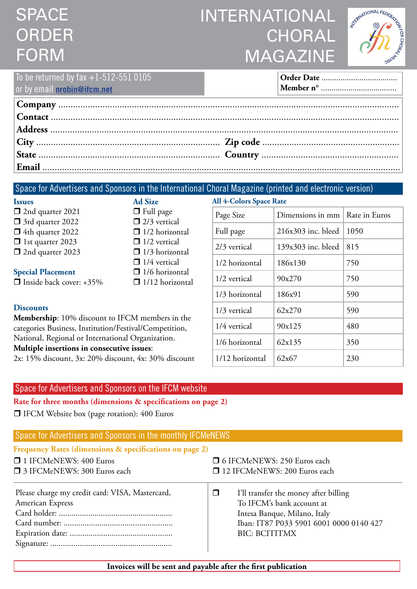# **SPACE** ORDER FORM

## INTERNATIONAL **CHORAL** MAGAZINE

1/12 horizontal  $\begin{array}{|c|c|c|} \hline 62x67 & 230 \\ \hline \end{array}$ 



| To be returned by fax $+1-512-5510105$<br>or by email <b>nrobin@ifcm.net</b> |  |
|------------------------------------------------------------------------------|--|
|                                                                              |  |
|                                                                              |  |
|                                                                              |  |
|                                                                              |  |
|                                                                              |  |
|                                                                              |  |

## Space for Advertisers and Sponsors in the International Choral Magazine (printed and electronic version)

| <b>Issues</b>                                                                                                                                                                      | <b>Ad Size</b>                                  | All 4-Colors Space Rate |                    |               |
|------------------------------------------------------------------------------------------------------------------------------------------------------------------------------------|-------------------------------------------------|-------------------------|--------------------|---------------|
| $\Box$ 2nd quarter 2021                                                                                                                                                            | $\Box$ Full page                                | Page Size               | Dimensions in mm   | Rate in Euros |
| $\Box$ 2/3 vertical<br>□ 3rd quarter 2022<br>$\Box$ 1/2 horizontal<br>$\Box$ 4th quarter 2022<br>$\Box$ 1st quarter 2023<br>$\Box$ 1/2 vertical<br>$\Box$ 2nd quarter 2023         | Full page                                       | $216x303$ inc. bleed    | 1050               |               |
|                                                                                                                                                                                    | $\Box$ 1/3 horizontal                           | 2/3 vertical            | 139x303 inc. bleed | 815           |
|                                                                                                                                                                                    | $\Box$ 1/4 vertical                             | 1/2 horizontal          | 186x130            | 750           |
| <b>Special Placement</b><br>$\Box$ Inside back cover: +35%                                                                                                                         | $\Box$ 1/6 horizontal<br>$\Box$ 1/12 horizontal | 1/2 vertical            | 90x270             | 750           |
|                                                                                                                                                                                    |                                                 | 1/3 horizontal          | 186x91             | 590           |
| <b>Discounts</b><br>Membership: 10% discount to IFCM members in the<br>categories Business, Institution/Festival/Competition,<br>National, Regional or International Organization. |                                                 | 1/3 vertical            | 62x270             | 590           |
|                                                                                                                                                                                    |                                                 | 1/4 vertical            | 90x125             | 480           |
|                                                                                                                                                                                    |                                                 | 1/6 horizontal          | 62x135             | 350           |

**Multiple insertions in consecutive issues**:

2x: 15% discount, 3x: 20% discount, 4x: 30% discount

### Space for Advertisers and Sponsors on the IFCM website

**Rate for three months (dimensions & specifications on page 2)**

□ IFCM Website box (page rotation): 400 Euros

### Space for Advertisers and Sponsors in the monthly IFCMeNEWS

| Frequency Rates (dimensions & specifications on page 2)             |                                                                                                                                                                                 |  |  |  |
|---------------------------------------------------------------------|---------------------------------------------------------------------------------------------------------------------------------------------------------------------------------|--|--|--|
| □ 1 IFCMeNEWS: 400 Euros<br>□ 3 IFCMeNEWS: 300 Euros each           | □ 6 IFCMeNEWS: 250 Euros each<br>12 IFCMeNEWS: 200 Euros each                                                                                                                   |  |  |  |
|                                                                     |                                                                                                                                                                                 |  |  |  |
| Please charge my credit card: VISA, Mastercard,<br>American Express | $\Box$<br>I'll transfer the money after billing<br>To IFCM's bank account at<br>Intesa Banque, Milano, Italy<br>Iban: IT87 P033 5901 6001 0000 0140 427<br><b>BIC: BCITITMX</b> |  |  |  |
|                                                                     |                                                                                                                                                                                 |  |  |  |

**Invoices will be sent and payable after the first publication**